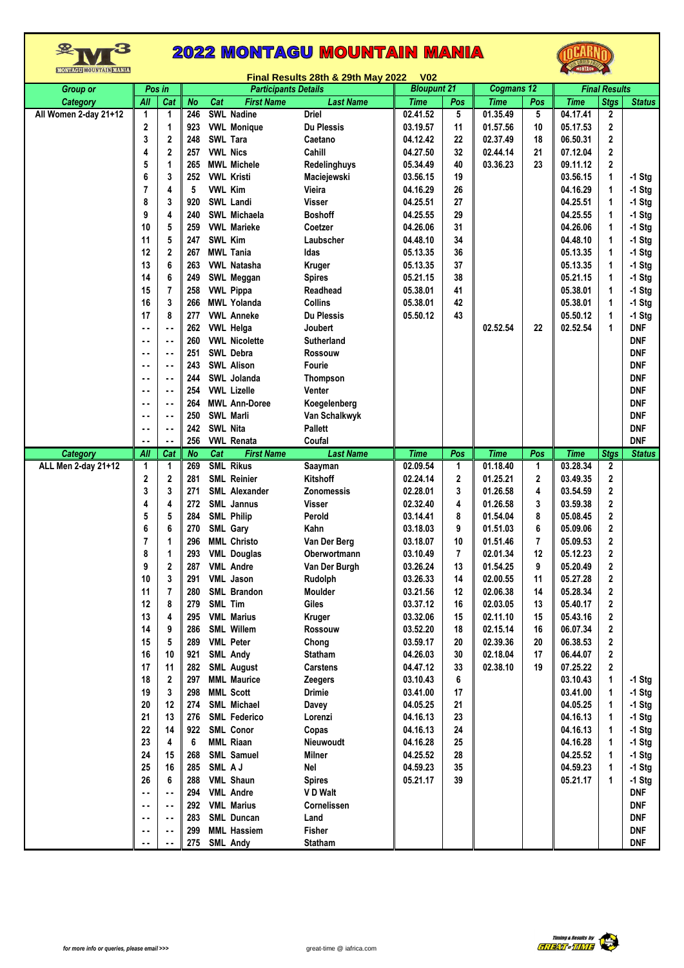



|                       |                |                |            |                             |                                       | Final Results 28th & 29th May 2022 | V <sub>02</sub> |                |             |              |                      |                |                          |
|-----------------------|----------------|----------------|------------|-----------------------------|---------------------------------------|------------------------------------|-----------------|----------------|-------------|--------------|----------------------|----------------|--------------------------|
| <b>Group or</b>       |                | Pos in         |            | <b>Participants Details</b> |                                       | <b>Bloupunt 21</b>                 |                 |                | Cogmans 12  |              | <b>Final Results</b> |                |                          |
| <b>Category</b>       | All            | Cat            | <b>No</b>  | Cat                         | <b>First Name</b>                     | <b>Last Name</b>                   | <b>Time</b>     | Pos            | <b>Time</b> | Pos          | <b>Time</b>          | <b>Stgs</b>    | <b>Status</b>            |
| All Women 2-day 21+12 | 1              | 1              | 246        |                             | <b>SWL Nadine</b>                     | <b>Driel</b>                       | 02.41.52        | 5              | 01.35.49    | 5            | 04.17.41             | 2              |                          |
|                       | 2              | 1              | 923        |                             | <b>VWL Monique</b>                    | <b>Du Plessis</b>                  | 03.19.57        | 11             | 01.57.56    | 10           | 05.17.53             | 2              |                          |
|                       | 3              | 2              | 248        |                             | <b>SWL Tara</b>                       | Caetano                            | 04.12.42        | 22             | 02.37.49    | 18           | 06.50.31             | 2              |                          |
|                       | 4              | 2              | 257        | <b>VWL Nics</b>             |                                       | Cahill                             | 04.27.50        | 32             | 02.44.14    | 21           | 07.12.04             | 2              |                          |
|                       | 5              | 1              | 265        |                             | <b>MWL Michele</b>                    | Redelinghuys                       | 05.34.49        | 40             | 03.36.23    | 23           | 09.11.12             | 2              |                          |
|                       | 6              | 3              | 252        |                             | <b>VWL Kristi</b>                     | Maciejewski                        | 03.56.15        | 19             |             |              | 03.56.15             | 1              | $-1$ Stg                 |
|                       | $\overline{7}$ | 4              | 5          | <b>VWL Kim</b>              |                                       | Vieira                             | 04.16.29        | 26             |             |              | 04.16.29             | 1              | $-1$ Stg                 |
|                       | 8              | 3              | 920        |                             | <b>SWL Landi</b>                      | Visser                             | 04.25.51        | 27             |             |              | 04.25.51             | 1              | $-1$ Stg                 |
|                       | 9              | 4              | 240        |                             | SWL Michaela                          | <b>Boshoff</b>                     | 04.25.55        | 29             |             |              | 04.25.55             | 1              | $-1$ Stg                 |
|                       |                |                |            |                             |                                       |                                    |                 |                |             |              |                      |                |                          |
|                       | 10             | 5              | 259        |                             | <b>VWL Marieke</b>                    | Coetzer                            | 04.26.06        | 31             |             |              | 04.26.06             | 1              | $-1$ Stg                 |
|                       | 11             | 5              | 247        | SWL Kim                     |                                       | Laubscher                          | 04.48.10        | 34             |             |              | 04.48.10             |                | $-1$ Stg                 |
|                       | 12             | 2              | 267        |                             | <b>MWL Tania</b>                      | Idas                               | 05.13.35        | 36             |             |              | 05.13.35             | 1              | $-1$ Stg                 |
|                       | 13             | 6              | 263        |                             | <b>VWL Natasha</b>                    | Kruger                             | 05.13.35        | 37             |             |              | 05.13.35             | 1              | $-1$ Stg                 |
|                       | 14             | 6              | 249        |                             | SWL Meggan                            | <b>Spires</b>                      | 05.21.15        | 38             |             |              | 05.21.15             | 1              | $-1$ Stg                 |
|                       | 15             | $\overline{7}$ | 258        |                             | <b>VWL Pippa</b>                      | Readhead                           | 05.38.01        | 41             |             |              | 05.38.01             | 1              | $-1$ Stg                 |
|                       | 16             | 3              | 266        |                             | <b>MWL Yolanda</b>                    | <b>Collins</b>                     | 05.38.01        | 42             |             |              | 05.38.01             | 1              | $-1$ Stg                 |
|                       | 17             | 8              | 277        |                             | <b>VWL Anneke</b>                     | <b>Du Plessis</b>                  | 05.50.12        | 43             |             |              | 05.50.12             | 1              | $-1$ Stg                 |
|                       | ۰.             | ٠.             | 262        |                             | <b>VWL Helga</b>                      | Joubert                            |                 |                | 02.52.54    | 22           | 02.52.54             | 1              | <b>DNF</b>               |
|                       | $\sim$ $\sim$  | ٠.             | 260        |                             | <b>VWL Nicolette</b>                  | <b>Sutherland</b>                  |                 |                |             |              |                      |                | <b>DNF</b>               |
|                       | ٠.             | ٠.             | 251        |                             | SWL Debra                             | Rossouw                            |                 |                |             |              |                      |                | <b>DNF</b>               |
|                       | $\sim$ $\sim$  | ۰.             | 243        |                             | <b>SWL Alison</b>                     | <b>Fourie</b>                      |                 |                |             |              |                      |                | <b>DNF</b>               |
|                       | ۰.             | ۰.             | 244        |                             | SWL Jolanda                           | <b>Thompson</b>                    |                 |                |             |              |                      |                | <b>DNF</b>               |
|                       |                |                |            |                             |                                       |                                    |                 |                |             |              |                      |                |                          |
|                       | ٠.             | ۰.             | 254        |                             | <b>VWL Lizelle</b>                    | Venter                             |                 |                |             |              |                      |                | <b>DNF</b>               |
|                       | ۰.             | ٠.             | 264        |                             | <b>MWL Ann-Doree</b>                  | Koegelenberg                       |                 |                |             |              |                      |                | <b>DNF</b>               |
|                       | $\sim$ $\sim$  | ۰.             | 250        |                             | SWL Marli                             | Van Schalkwyk                      |                 |                |             |              |                      |                | <b>DNF</b>               |
|                       | ۰.             | ۰.             | 242        | <b>SWL Nita</b>             |                                       | <b>Pallett</b>                     |                 |                |             |              |                      |                | <b>DNF</b>               |
|                       | $\sim$         | ٠.             | 256        |                             | <b>VWL Renata</b>                     | Coufal                             |                 |                |             |              |                      |                | <b>DNF</b>               |
| <b>Category</b>       | All            | Cat            | <b>No</b>  | Cat                         | <b>First Name</b>                     | <b>Last Name</b>                   | <b>Time</b>     | Pos            | <b>Time</b> | Pos          | <b>Time</b>          | <b>Stgs</b>    | <b>Status</b>            |
|                       |                |                |            |                             |                                       |                                    |                 |                |             |              |                      |                |                          |
| ALL Men 2-day 21+12   | 1              | 1              | 269        |                             | <b>SML Rikus</b>                      | Saayman                            | 02.09.54        | 1              | 01.18.40    | $\mathbf{1}$ | 03.28.34             | 2              |                          |
|                       | 2              | 2              | 281        |                             | <b>SML Reinier</b>                    | Kitshoff                           | 02.24.14        | 2              | 01.25.21    | 2            | 03.49.35             | 2              |                          |
|                       | 3              | 3              | 271        |                             | SML Alexander                         | Zonomessis                         | 02.28.01        | 3              | 01.26.58    | 4            | 03.54.59             | 2              |                          |
|                       | 4              | 4              | 272        |                             | SML Jannus                            | Visser                             | 02.32.40        | 4              | 01.26.58    | 3            | 03.59.38             | 2              |                          |
|                       | 5              | 5              | 284        |                             | <b>SML Philip</b>                     | Perold                             | 03.14.41        | 8              | 01.54.04    | 8            | 05.08.45             | 2              |                          |
|                       |                | 6              | 270        |                             |                                       | Kahn                               | 03.18.03        | 9              | 01.51.03    | 6            | 05.09.06             | 2              |                          |
|                       | 6              | 1              | 296        |                             | SML Gary<br><b>MML Christo</b>        |                                    | 03.18.07        | 10             | 01.51.46    | 7            | 05.09.53             | $\overline{2}$ |                          |
|                       | $\overline{7}$ |                |            |                             |                                       | Van Der Berg                       |                 | $\overline{7}$ |             |              |                      |                |                          |
|                       | 8              | 1              | 293        |                             | <b>VML Douglas</b>                    | Oberwortmann                       | 03.10.49        |                | 02.01.34    | 12           | 05.12.23             | 2              |                          |
|                       | 9              | 2              | 287        |                             | <b>VML Andre</b>                      | Van Der Burgh                      | 03.26.24        | 13             | 01.54.25    | 9            | 05.20.49             | 2              |                          |
|                       | 10             | 3              | 291        |                             | <b>VML</b> Jason                      | Rudolph                            | 03.26.33        | 14             | 02.00.55    | 11           | 05.27.28             | 2              |                          |
|                       | 11             | 7              | 280        |                             | <b>SML Brandon</b>                    | Moulder                            | 03.21.56        | 12             | 02.06.38    | 14           | 05.28.34             | 2              |                          |
|                       | 12             | 8              | 279        | SML Tim                     |                                       | Giles                              | 03.37.12        | 16             | 02.03.05    | 13           | 05.40.17             | 2              |                          |
|                       | 13             | 4              | 295        |                             | <b>VML Marius</b>                     | Kruger                             | 03.32.06        | 15             | 02.11.10    | 15           | 05.43.16             | 2              |                          |
|                       | 14             | 9              | 286        |                             | <b>SML Willem</b>                     | Rossouw                            | 03.52.20        | 18             | 02.15.14    | 16           | 06.07.34             | 2              |                          |
|                       | 15             | 5              | 289        |                             | <b>VML Peter</b>                      | Chong                              | 03.59.17        | 20             | 02.39.36    | 20           | 06.38.53             | 2              |                          |
|                       | 16             | 10             | 921        |                             | <b>SML Andy</b>                       | <b>Statham</b>                     | 04.26.03        | 30             | 02.18.04    | 17           | 06.44.07             | 2              |                          |
|                       | 17             | 11             | 282        |                             | <b>SML August</b>                     | <b>Carstens</b>                    | 04.47.12        | 33             | 02.38.10    | 19           | 07.25.22             | $\mathbf{2}$   |                          |
|                       | 18             | 2              | 297        |                             | <b>MML Maurice</b>                    | <b>Zeegers</b>                     | 03.10.43        | 6              |             |              | 03.10.43             | 1              | $-1$ Stg                 |
|                       | 19             | 3              | 298        |                             | <b>MML Scott</b>                      | Drimie                             | 03.41.00        | 17             |             |              | 03.41.00             | 1              | $-1$ Stg                 |
|                       | 20             | 12             | 274        |                             | <b>SML Michael</b>                    | Davey                              | 04.05.25        | 21             |             |              | 04.05.25             | 1              | $-1$ Stg                 |
|                       | 21             | 13             | 276        |                             | <b>SML Federico</b>                   | Lorenzi                            | 04.16.13        | 23             |             |              | 04.16.13             | 1              | $-1$ Stg                 |
|                       | 22             | 14             | 922        |                             | <b>SML Conor</b>                      | Copas                              | 04.16.13        | 24             |             |              | 04.16.13             |                | $-1$ Stg                 |
|                       | 23             | 4              | 6          |                             | <b>MML Riaan</b>                      | Nieuwoudt                          | 04.16.28        | 25             |             |              | 04.16.28             |                | $-1$ Stg                 |
|                       |                | 15             | 268        |                             |                                       |                                    |                 | 28             |             |              | 04.25.52             | 1              |                          |
|                       | 24             | 16             |            |                             | SML Samuel                            | <b>Milner</b><br>Nel               | 04.25.52        | 35             |             |              |                      | 1              | $-1$ Stg                 |
|                       | 25             |                | 285        | SML AJ                      |                                       |                                    | 04.59.23        |                |             |              | 04.59.23             |                | $-1$ Stg                 |
|                       | 26             | 6              | 288        |                             | <b>VML Shaun</b>                      | <b>Spires</b>                      | 05.21.17        | 39             |             |              | 05.21.17             | 1              | $-1$ Stg                 |
|                       | μ.             | ٠.             | 294        |                             | <b>VML Andre</b>                      | V D Walt                           |                 |                |             |              |                      |                | <b>DNF</b>               |
|                       | $\sim$         | ٠.             | 292        |                             | <b>VML Marius</b>                     | Cornelissen                        |                 |                |             |              |                      |                | <b>DNF</b>               |
|                       | ٠.             | ۰.             | 283        |                             | SML Duncan                            | Land                               |                 |                |             |              |                      |                | <b>DNF</b>               |
|                       | ۰.<br>. .      | ۰.<br>. .      | 299<br>275 |                             | <b>MML Hassiem</b><br><b>SML Andy</b> | <b>Fisher</b><br><b>Statham</b>    |                 |                |             |              |                      |                | <b>DNF</b><br><b>DNF</b> |



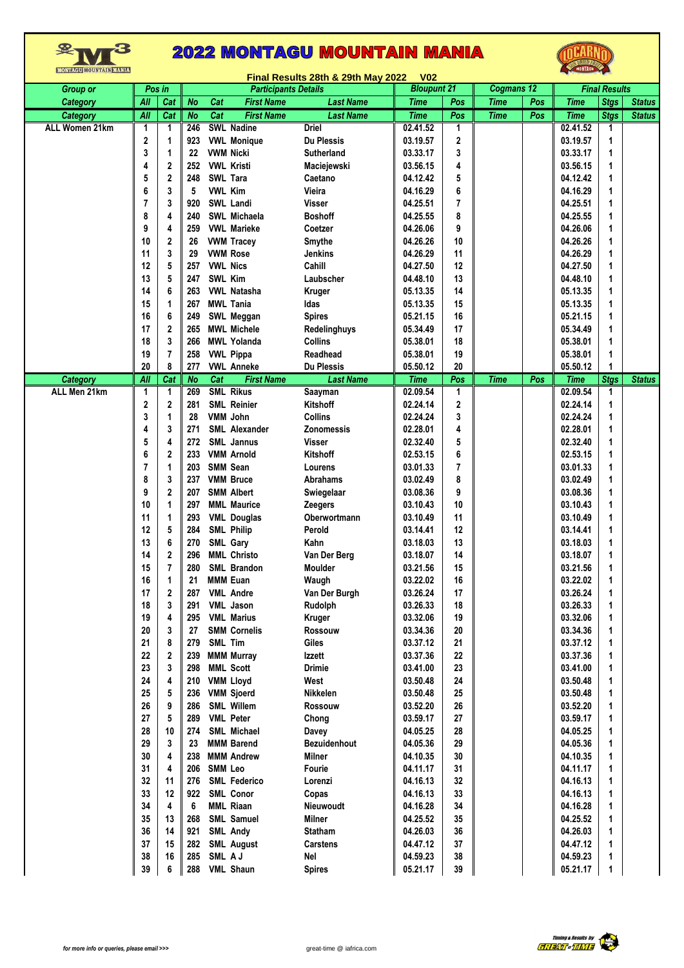| MONTAGU <b>MOUNTAIN MANIA</b> |                  | <b>EXAMPLED AND REAL</b><br>Final Results 28th & 29th May 2022<br><b>V02</b> |           |                |                             |                   |                    |                |             |                      |             |             |               |
|-------------------------------|------------------|------------------------------------------------------------------------------|-----------|----------------|-----------------------------|-------------------|--------------------|----------------|-------------|----------------------|-------------|-------------|---------------|
| <b>Group or</b>               | Pos in           |                                                                              |           |                | <b>Participants Details</b> |                   | <b>Bloupunt 21</b> |                | Cogmans 12  | <b>Final Results</b> |             |             |               |
| Category                      | AII              | Cat                                                                          | <b>No</b> | Cat            | <b>First Name</b>           | <b>Last Name</b>  | <b>Time</b>        | Pos            | <b>Time</b> | Pos                  | <b>Time</b> | <b>Stgs</b> | <b>Status</b> |
| Category                      | $\overline{All}$ | Cat                                                                          | <b>No</b> | Cat            | <b>First Name</b>           | <b>Last Name</b>  | <b>Time</b>        | Pos            | <b>Time</b> | Pos                  | <b>Time</b> | <b>Stgs</b> | <b>Status</b> |
| ALL Women 21km                | 1                | 1                                                                            | 246       |                | <b>SWL Nadine</b>           | <b>Driel</b>      | 02.41.52           | 1              |             |                      | 02.41.52    | 1           |               |
|                               | 2                | 1                                                                            | 923       |                | <b>VWL Monique</b>          | <b>Du Plessis</b> | 03.19.57           | 2              |             |                      | 03.19.57    | 1           |               |
|                               | 3                | 1                                                                            | 22        |                | <b>VWM Nicki</b>            | Sutherland        | 03.33.17           | 3              |             |                      | 03.33.17    | 1           |               |
|                               | 4                | 2                                                                            | 252       |                | <b>VWL Kristi</b>           |                   | 03.56.15           | 4              |             |                      | 03.56.15    | 1           |               |
|                               |                  |                                                                              |           |                |                             | Maciejewski       |                    |                |             |                      |             |             |               |
|                               | 5                | 2                                                                            | 248       |                | SWL Tara                    | Caetano           | 04.12.42           | 5              |             |                      | 04.12.42    | 1           |               |
|                               | 6                | 3                                                                            | 5         | <b>VWL Kim</b> |                             | Vieira            | 04.16.29           | 6              |             |                      | 04.16.29    | 1           |               |
|                               | 7                | 3                                                                            | 920       |                | SWL Landi                   | Visser            | 04.25.51           | $\overline{7}$ |             |                      | 04.25.51    | 1           |               |
|                               | 8                | 4                                                                            | 240       |                | SWL Michaela                | <b>Boshoff</b>    | 04.25.55           | 8              |             |                      | 04.25.55    | 1           |               |
|                               | 9                | 4                                                                            | 259       |                | <b>VWL Marieke</b>          | Coetzer           | 04.26.06           | 9              |             |                      | 04.26.06    | 1           |               |
|                               | 10               | 2                                                                            | 26        |                | <b>VWM Tracey</b>           | Smythe            | 04.26.26           | 10             |             |                      | 04.26.26    | 1           |               |
|                               | 11               | 3                                                                            | 29        |                | <b>VWM Rose</b>             | Jenkins           | 04.26.29           | 11             |             |                      | 04.26.29    | 1           |               |
|                               | 12               | 5                                                                            | 257       |                | <b>VWL Nics</b>             | Cahill            | 04.27.50           | 12             |             |                      | 04.27.50    | 1           |               |
|                               | 13               | 5                                                                            | 247       | <b>SWL Kim</b> |                             | Laubscher         | 04.48.10           | 13             |             |                      | 04.48.10    | 1           |               |
|                               | 14               | 6                                                                            | 263       |                | <b>VWL Natasha</b>          | Kruger            | 05.13.35           | 14             |             |                      | 05.13.35    | 1           |               |
|                               | 15               | 1                                                                            | 267       |                | <b>MWL Tania</b>            | Idas              | 05.13.35           | 15             |             |                      | 05.13.35    | 1           |               |
|                               | 16               | 6                                                                            | 249       |                | SWL Meggan                  | <b>Spires</b>     | 05.21.15           | 16             |             |                      | 05.21.15    | 1           |               |
|                               | 17               | 2                                                                            | 265       |                | <b>MWL Michele</b>          | Redelinghuys      | 05.34.49           | 17             |             |                      | 05.34.49    | 1           |               |
|                               | 18               | 3                                                                            | 266       |                | <b>MWL Yolanda</b>          | <b>Collins</b>    | 05.38.01           | 18             |             |                      | 05.38.01    | 1           |               |
|                               | 19               | $\overline{7}$                                                               | 258       |                | <b>VWL Pippa</b>            | Readhead          | 05.38.01           | 19             |             |                      | 05.38.01    | 1           |               |
|                               | 20               | 8                                                                            | 277       |                | <b>VWL Anneke</b>           | <b>Du Plessis</b> | 05.50.12           | 20             |             |                      | 05.50.12    | 1           |               |
| <b>Category</b>               | All              | Cat                                                                          | <b>No</b> | Cat            | <b>First Name</b>           | <b>Last Name</b>  | <b>Time</b>        | Pos            | <b>Time</b> | Pos                  | <b>Time</b> | <b>Stgs</b> | <b>Status</b> |
| ALL Men 21km                  | 1                | 1                                                                            | 269       |                | <b>SML Rikus</b>            | Saayman           | 02.09.54           | 1              |             |                      | 02.09.54    | 1           |               |
|                               | 2                | 2                                                                            | 281       |                | <b>SML Reinier</b>          | Kitshoff          | 02.24.14           | 2              |             |                      | 02.24.14    | 1           |               |
|                               | 3                | 1                                                                            | 28        |                | <b>VMM John</b>             | <b>Collins</b>    | 02.24.24           | 3              |             |                      | 02.24.24    | 1           |               |
|                               | 4                | 3                                                                            | 271       |                | SML Alexander               | Zonomessis        | 02.28.01           | 4              |             |                      | 02.28.01    | 1           |               |
|                               | 5                | 4                                                                            | 272       |                | <b>SML Jannus</b>           | Visser            | 02.32.40           | 5              |             |                      | 02.32.40    | 1           |               |
|                               | 6                | 2                                                                            | 233       |                | <b>VMM Arnold</b>           | Kitshoff          | 02.53.15           | 6              |             |                      | 02.53.15    | 1           |               |
|                               | 7                | 1                                                                            | 203       |                | <b>SMM Sean</b>             | Lourens           | 03.01.33           | 7              |             |                      | 03.01.33    | 1           |               |
|                               | 8                | 3                                                                            | 237       |                | <b>VMM Bruce</b>            | <b>Abrahams</b>   | 03.02.49           | 8              |             |                      | 03.02.49    | 1           |               |
|                               | 9                | 2                                                                            | 207       |                | <b>SMM Albert</b>           | Swiegelaar        | 03.08.36           | 9              |             |                      | 03.08.36    | 1           |               |
|                               | 10               | 1                                                                            | 297       |                | <b>MML Maurice</b>          | <b>Zeegers</b>    | 03.10.43           | 10             |             |                      | 03.10.43    | 1           |               |
|                               | 11               | 1                                                                            | 293       |                | <b>VML</b> Douglas          | Oberwortmann      | 03.10.49           | 11             |             |                      | 03.10.49    | 1           |               |
|                               | 12               | 5                                                                            | 284       |                | <b>SML Philip</b>           | Perold            | 03.14.41           | 12             |             |                      | 03.14.41    | 1           |               |
|                               | 13               | 6                                                                            | 270       |                | SML Gary                    | Kahn              | 03.18.03           | 13             |             |                      | 03.18.03    | 1           |               |
|                               | 14               | $\mathbf 2$                                                                  | 296       |                | <b>MML Christo</b>          | Van Der Berg      | 03.18.07           | 14             |             |                      | 03.18.07    | 1           |               |
|                               | 15               | 7                                                                            | 280       |                | <b>SML Brandon</b>          | <b>Moulder</b>    | 03.21.56           | 15             |             |                      | 03.21.56    | 1           |               |
|                               | 16               | 1                                                                            | 21        |                | <b>MMM Euan</b>             | Waugh             | 03.22.02           | 16             |             |                      | 03.22.02    | 1           |               |
|                               | 17               | 2                                                                            | 287       |                | <b>VML Andre</b>            | Van Der Burgh     | 03.26.24           | 17             |             |                      | 03.26.24    | 1           |               |
|                               | 18               | 3                                                                            | 291       |                | VML Jason                   | Rudolph           | 03.26.33           | 18             |             |                      | 03.26.33    | 1           |               |
|                               | 19               | 4                                                                            | 295       |                | <b>VML Marius</b>           | Kruger            | 03.32.06           | 19             |             |                      | 03.32.06    | 1           |               |
|                               | 20               | 3                                                                            | 27        |                | <b>SMM Cornelis</b>         | Rossouw           | 03.34.36           | 20             |             |                      | 03.34.36    | 1           |               |
|                               | 21               | 8                                                                            | 279       | SML Tim        |                             | Giles             | 03.37.12           | 21             |             |                      | 03.37.12    | 1           |               |
|                               | 22               | 2                                                                            | 239       |                | <b>MMM Murray</b>           | Izzett            | 03.37.36           | 22             |             |                      | 03.37.36    | 1           |               |
|                               | 23               | 3                                                                            | 298       |                | <b>MML Scott</b>            | <b>Drimie</b>     | 03.41.00           | 23             |             |                      | 03.41.00    | 1           |               |
|                               | 24               | 4                                                                            | 210       |                | <b>VMM Lloyd</b>            | West              | 03.50.48           | 24             |             |                      | 03.50.48    | 1           |               |
|                               |                  |                                                                              | 236       |                |                             | Nikkelen          |                    |                |             |                      |             |             |               |
|                               | 25               | 5                                                                            |           |                | <b>VMM Sjoerd</b>           |                   | 03.50.48           | 25             |             |                      | 03.50.48    | 1           |               |
|                               | 26               | 9                                                                            | 286       |                | <b>SML Willem</b>           | Rossouw           | 03.52.20           | 26             |             |                      | 03.52.20    | 1           |               |
|                               | 27               | 5                                                                            | 289       |                | <b>VML Peter</b>            | Chong             | 03.59.17           | 27             |             |                      | 03.59.17    | 1           |               |
|                               | 28               | 10                                                                           | 274       |                | SML Michael                 | Davey             | 04.05.25           | 28             |             |                      | 04.05.25    | 1           |               |
|                               | 29               | 3                                                                            | 23        |                | <b>MMM Barend</b>           | Bezuidenhout      | 04.05.36           | 29             |             |                      | 04.05.36    | 1           |               |
|                               | 30               | 4                                                                            | 238       |                | <b>MMM Andrew</b>           | <b>Milner</b>     | 04.10.35           | 30             |             |                      | 04.10.35    | 1           |               |
|                               | 31               | 4                                                                            | 206       | <b>SMM Leo</b> |                             | Fourie            | 04.11.17           | 31             |             |                      | 04.11.17    | 1           |               |
|                               | 32               | 11                                                                           | 276       |                | <b>SML Federico</b>         | Lorenzi           | 04.16.13           | 32             |             |                      | 04.16.13    | 1           |               |
|                               | 33               | 12                                                                           | 922       |                | <b>SML Conor</b>            | Copas             | 04.16.13           | 33             |             |                      | 04.16.13    | 1           |               |
|                               | 34               | 4                                                                            | 6         |                | <b>MML Riaan</b>            | Nieuwoudt         | 04.16.28           | 34             |             |                      | 04.16.28    | 1           |               |
|                               | 35               | 13                                                                           | 268       |                | <b>SML Samuel</b>           | <b>Milner</b>     | 04.25.52           | 35             |             |                      | 04.25.52    | 1           |               |
|                               | 36               | 14                                                                           | 921       |                | <b>SML Andy</b>             | <b>Statham</b>    | 04.26.03           | 36             |             |                      | 04.26.03    | 1           |               |
|                               | 37               | 15                                                                           | 282       |                | <b>SML August</b>           | <b>Carstens</b>   | 04.47.12           | 37             |             |                      | 04.47.12    | 1           |               |
|                               | 38               | 16                                                                           | 285       | SML AJ         |                             | Nel               | 04.59.23           | 38             |             |                      | 04.59.23    | 1           |               |
|                               | 39               |                                                                              | 288       |                | <b>VML Shaun</b>            | <b>Spires</b>     | 05.21.17           | 39             |             |                      | 05.21.17    | 1           |               |

 $M^3$ 

OCARNO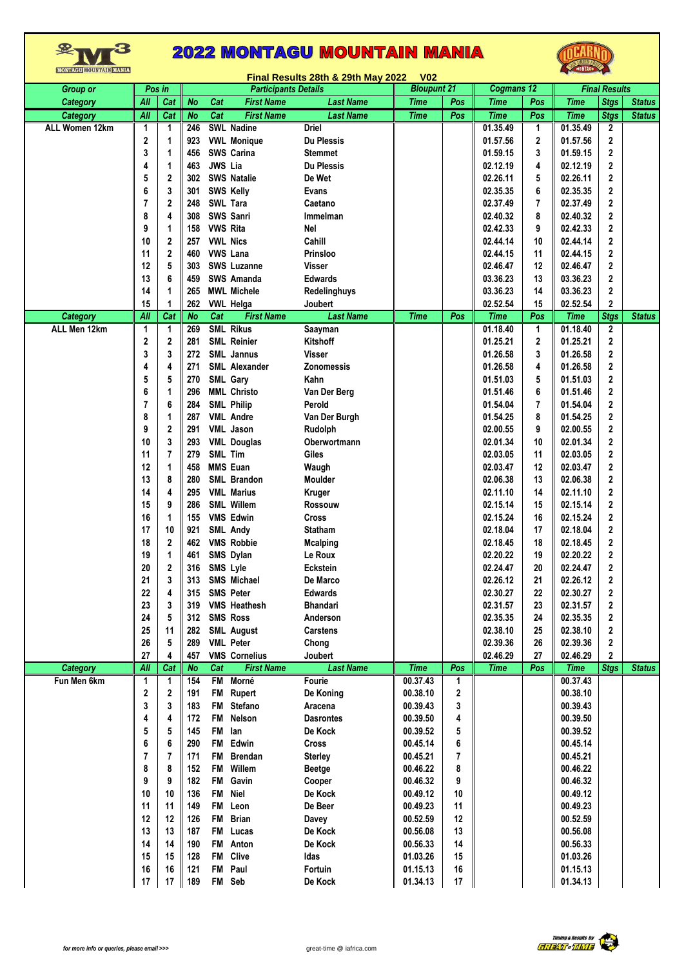|                 |                  |                |           |                 |                             | Final Results 28th & 29th May 2022 | <b>V02</b>         |     |             |                |             |                      |               |
|-----------------|------------------|----------------|-----------|-----------------|-----------------------------|------------------------------------|--------------------|-----|-------------|----------------|-------------|----------------------|---------------|
| <b>Group or</b> |                  | Pos in         |           |                 | <b>Participants Details</b> |                                    | <b>Bloupunt 21</b> |     | Cogmans 12  |                |             | <b>Final Results</b> |               |
| Category        | All              | Cat            | <b>No</b> | Cat             | <b>First Name</b>           | <b>Last Name</b>                   | <b>Time</b>        | Pos | <b>Time</b> | Pos            | <b>Time</b> | <b>Stgs</b>          | <b>Status</b> |
| <b>Category</b> | All              | Cat            | <b>No</b> | Cat             | <b>First Name</b>           | <b>Last Name</b>                   | <b>Time</b>        | Pos | <b>Time</b> | Pos            | <b>Time</b> | <b>Stgs</b>          | <b>Status</b> |
| ALL Women 12km  | 1                | 1              | 246       |                 | <b>SWL Nadine</b>           | Driel                              |                    |     | 01.35.49    | $\mathbf 1$    | 01.35.49    | 2                    |               |
|                 | 2                | 1              | 923       |                 | <b>VWL Monique</b>          | <b>Du Plessis</b>                  |                    |     | 01.57.56    | 2              | 01.57.56    | 2                    |               |
|                 | 3                | 1              | 456       |                 | SWS Carina                  | <b>Stemmet</b>                     |                    |     | 01.59.15    | 3              | 01.59.15    | 2                    |               |
|                 | 4                | 1              | 463       | JWS Lia         |                             | <b>Du Plessis</b>                  |                    |     | 02.12.19    | 4              | 02.12.19    | 2                    |               |
|                 | 5                | 2              | 302       |                 | <b>SWS Natalie</b>          | De Wet                             |                    |     | 02.26.11    | 5              | 02.26.11    | 2                    |               |
|                 | 6                | 3              | 301       |                 | <b>SWS Kelly</b>            | <b>Evans</b>                       |                    |     | 02.35.35    | 6              | 02.35.35    | 2                    |               |
|                 | $\overline{7}$   | 2              | 248       |                 | SWL Tara                    | Caetano                            |                    |     | 02.37.49    | 7              | 02.37.49    | 2                    |               |
|                 | 8                | 4              | 308       |                 | <b>SWS Sanri</b>            | Immelman                           |                    |     | 02.40.32    | 8              | 02.40.32    | 2                    |               |
|                 | 9                | 1              | 158       | <b>VWS Rita</b> |                             | <b>Nel</b>                         |                    |     | 02.42.33    | 9              | 02.42.33    | 2                    |               |
|                 | 10               | 2              | 257       |                 | <b>VWL Nics</b>             | Cahill                             |                    |     | 02.44.14    | 10             | 02.44.14    | 2                    |               |
|                 | 11               | 2              | 460       |                 | <b>VWS Lana</b>             | Prinsloo                           |                    |     | 02.44.15    | 11             | 02.44.15    | 2                    |               |
|                 | 12               | 5              | 303       |                 | SWS Luzanne                 | <b>Visser</b>                      |                    |     |             | 12             | 02.46.47    |                      |               |
|                 |                  | 6              |           |                 |                             |                                    |                    |     | 02.46.47    |                |             | 2                    |               |
|                 | 13               |                | 459       |                 | SWS Amanda                  | <b>Edwards</b>                     |                    |     | 03.36.23    | 13             | 03.36.23    | 2                    |               |
|                 | 14               | 1              | 265       |                 | <b>MWL Michele</b>          | Redelinghuys                       |                    |     | 03.36.23    | 14             | 03.36.23    | 2                    |               |
|                 | 15               | 1              | 262       |                 | <b>VWL Helga</b>            | Joubert                            |                    |     | 02.52.54    | 15             | 02.52.54    | 2                    |               |
| <b>Category</b> | All              | Cat            | <b>No</b> | Cat             | <b>First Name</b>           | <b>Last Name</b>                   | <b>Time</b>        | Pos | <b>Time</b> | Pos            | <b>Time</b> | <b>Stgs</b>          | <b>Status</b> |
| ALL Men 12km    | 1                | 1              | 269       |                 | <b>SML Rikus</b>            | Saayman                            |                    |     | 01.18.40    | 1              | 01.18.40    | 2                    |               |
|                 | 2                | $\mathbf 2$    | 281       |                 | <b>SML Reinier</b>          | Kitshoff                           |                    |     | 01.25.21    | $\overline{2}$ | 01.25.21    | 2                    |               |
|                 | 3                | 3              | 272       |                 | <b>SML Jannus</b>           | <b>Visser</b>                      |                    |     | 01.26.58    | 3              | 01.26.58    | 2                    |               |
|                 | 4                | 4              | 271       |                 | <b>SML Alexander</b>        | <b>Zonomessis</b>                  |                    |     | 01.26.58    | 4              | 01.26.58    | 2                    |               |
|                 | 5                | 5              | 270       |                 | SML Gary                    | Kahn                               |                    |     | 01.51.03    | 5              | 01.51.03    | 2                    |               |
|                 | 6                | 1              | 296       |                 | <b>MML Christo</b>          | Van Der Berg                       |                    |     | 01.51.46    | 6              | 01.51.46    | 2                    |               |
|                 | $\overline{7}$   | 6              | 284       |                 | <b>SML Philip</b>           | Perold                             |                    |     | 01.54.04    | 7              | 01.54.04    | 2                    |               |
|                 | 8                | 1              | 287       |                 | <b>VML Andre</b>            | Van Der Burgh                      |                    |     | 01.54.25    | 8              | 01.54.25    | 2                    |               |
|                 | 9                | 2              | 291       |                 | <b>VML</b> Jason            | Rudolph                            |                    |     | 02.00.55    | 9              | 02.00.55    | 2                    |               |
|                 | 10               | 3              | 293       |                 | <b>VML Douglas</b>          | Oberwortmann                       |                    |     | 02.01.34    | 10             | 02.01.34    | 2                    |               |
|                 | 11               | $\overline{7}$ | 279       | SML Tim         |                             | Giles                              |                    |     | 02.03.05    | 11             | 02.03.05    | 2                    |               |
|                 | 12               | 1              | 458       |                 | <b>MMS Euan</b>             | Waugh                              |                    |     | 02.03.47    | 12             | 02.03.47    | 2                    |               |
|                 | 13               | 8              | 280       |                 | SML Brandon                 | Moulder                            |                    |     | 02.06.38    | 13             | 02.06.38    | 2                    |               |
|                 | 14               | 4              | 295       |                 | <b>VML Marius</b>           | <b>Kruger</b>                      |                    |     | 02.11.10    | 14             | 02.11.10    | 2                    |               |
|                 | 15               | 9              | 286       |                 | <b>SML Willem</b>           | Rossouw                            |                    |     | 02.15.14    | 15             | 02.15.14    | 2                    |               |
|                 | 16               | 1              | 155       |                 | <b>VMS Edwin</b>            | <b>Cross</b>                       |                    |     | 02.15.24    | 16             | 02.15.24    | 2                    |               |
|                 | 17               | 10             | 921       |                 | <b>SML Andy</b>             | Statham                            |                    |     | 02.18.04    | 17             | 02.18.04    | 2                    |               |
|                 | 18               | 2              | 462       |                 | <b>VMS Robbie</b>           | <b>Mcalping</b>                    |                    |     | 02.18.45    | 18             | 02.18.45    | 2                    |               |
|                 | 19               | 1              | 461       |                 | SMS Dylan                   | Le Roux                            |                    |     | 02.20.22    | 19             | 02.20.22    | 2                    |               |
|                 | 20               | 2              | 316       |                 | SMS Lyle                    | <b>Eckstein</b>                    |                    |     | 02.24.47    | 20             | 02.24.47    | 2                    |               |
|                 | 21               | 3              | 313       |                 | <b>SMS Michael</b>          | De Marco                           |                    |     | 02.26.12    | 21             | 02.26.12    | $\overline{2}$       |               |
|                 | 22               | 4              | 315       |                 | <b>SMS Peter</b>            | <b>Edwards</b>                     |                    |     | 02.30.27    | 22             | 02.30.27    | 2                    |               |
|                 | 23               | 3              | 319       |                 | <b>VMS Heathesh</b>         | <b>Bhandari</b>                    |                    |     | 02.31.57    | 23             | 02.31.57    | 2                    |               |
|                 | 24               | 5              | 312       |                 | <b>SMS Ross</b>             | Anderson                           |                    |     | 02.35.35    | 24             | 02.35.35    | 2                    |               |
|                 | 25               | 11             | 282       |                 | <b>SML August</b>           | <b>Carstens</b>                    |                    |     | 02.38.10    | 25             | 02.38.10    | 2                    |               |
|                 | 26               | 5              | 289       |                 | <b>VML</b> Peter            | Chong                              |                    |     | 02.39.36    | 26             | 02.39.36    | 2                    |               |
|                 | 27               | 4              | 457       |                 | <b>VMS Cornelius</b>        | Joubert                            |                    |     | 02.46.29    | 27             | 02.46.29    | $\mathbf 2$          |               |
| <b>Category</b> | $\overline{All}$ | Cat            | <b>No</b> | Cat             | <b>First Name</b>           | <b>Last Name</b>                   | <b>Time</b>        | Pos | <b>Time</b> | Pos            | <b>Time</b> | <b>Stgs</b>          | <b>Status</b> |
| Fun Men 6km     | 1                | 1              | 154       |                 | FM Morné                    | Fourie                             | 00.37.43           | 1   |             |                | 00.37.43    |                      |               |
|                 | 2                | 2              | 191       | FM              | Rupert                      | De Koning                          | 00.38.10           | 2   |             |                | 00.38.10    |                      |               |
|                 | 3                | 3              | 183       | FM              | Stefano                     | Aracena                            | 00.39.43           | 3   |             |                | 00.39.43    |                      |               |
|                 | 4                | 4              | 172       | FM              | Nelson                      | <b>Dasrontes</b>                   | 00.39.50           | 4   |             |                | 00.39.50    |                      |               |
|                 | 5                | 5              | 145       | FM              | lan                         | De Kock                            | 00.39.52           | 5   |             |                | 00.39.52    |                      |               |
|                 | 6                | 6              | 290       | <b>FM</b>       | Edwin                       | Cross                              | 00.45.14           | 6   |             |                | 00.45.14    |                      |               |
|                 | 7                | 7              | 171       | <b>FM</b>       | <b>Brendan</b>              | <b>Sterley</b>                     | 00.45.21           | 7   |             |                | 00.45.21    |                      |               |
|                 | 8                | 8              | 152       | <b>FM</b>       | Willem                      |                                    | 00.46.22           | 8   |             |                | 00.46.22    |                      |               |
|                 | 9                | 9              | 182       | FM              | Gavin                       | <b>Beetge</b>                      | 00.46.32           | 9   |             |                | 00.46.32    |                      |               |
|                 | 10               | 10             | 136       | <b>FM</b>       | <b>Niel</b>                 | Cooper<br>De Kock                  |                    | 10  |             |                | 00.49.12    |                      |               |
|                 |                  |                |           |                 |                             |                                    | 00.49.12           |     |             |                |             |                      |               |
|                 | 11               | 11             | 149       | FM              | Leon                        | De Beer                            | 00.49.23           | 11  |             |                | 00.49.23    |                      |               |
|                 | 12               | 12             | 126       | FM              | <b>Brian</b>                | Davey                              | 00.52.59           | 12  |             |                | 00.52.59    |                      |               |
|                 | 13               | 13             | 187       | <b>FM</b>       | Lucas                       | De Kock                            | 00.56.08           | 13  |             |                | 00.56.08    |                      |               |
|                 | 14               | 14             | 190       | <b>FM</b>       | Anton                       | De Kock                            | 00.56.33           | 14  |             |                | 00.56.33    |                      |               |
|                 | 15               | 15             | 128       | FM              | Clive                       | Idas                               | 01.03.26           | 15  |             |                | 01.03.26    |                      |               |
|                 | 16               | 16             | 121       | <b>FM</b>       | Paul                        | Fortuin                            | 01.15.13           | 16  |             |                | 01.15.13    |                      |               |
|                 | 17               | 17             | 189       |                 | FM Seb                      | De Kock                            | 01.34.13           | 17  |             |                | 01.34.13    |                      |               |

<sup>L</sup>E

OCARNO